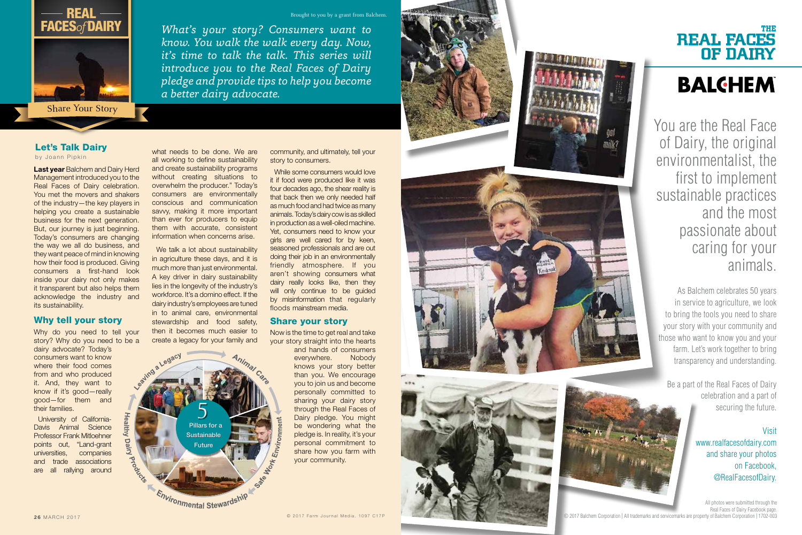Last year Balchem and Dairy Herd Management introduced you to the Real Faces of Dairy celebration. You met the movers and shakers of the industry—the key players in helping you create a sustainable business for the next generation. But, our journey is just beginning. Today's consumers are changing the way we all do business, and they want peace of mind in knowing how their food is produced. Giving consumers a first-hand look inside your dairy not only makes it transparent but also helps them acknowledge the industry and its sustainability.

Why do you need to tell your story? Why do you need to be a

### Why tell your story

dairy advocate? Today's consumers want to know where their food comes from and who produced it. And, they want to know if it's good—really good—for them and their families.

We talk a lot about sustainability in agriculture these days, and it is much more than just environmental. A key driver in dairy sustainability lies in the longevity of the industry's workforce. It's a domino effect. If the dairy industry's employees are tuned in to animal care, environmental stewardship and food safety, then it becomes much easier to create a legacy for your family and

University of California-Davis Animal Science Professor Frank Mitloehner points out, "Land-grant universities, companies and trade associations are all rallying around **Jealthy** 

Dairy

I Prook

what needs to be done. We are all working to define sustainability and create sustainability programs without creating situations to overwhelm the producer." Today's consumers are environmentally conscious and communication savvy, making it more important than ever for producers to equip them with accurate, consistent information when concerns arise.

# THE REAL FACES OF DAIRY **BALGHEM**

community, and ultimately, tell your story to consumers.

While some consumers would love it if food were produced like it was four decades ago, the shear reality is that back then we only needed half as much food and had twice as many animals. Today's dairy cow is as skilled in production as a well-oiled machine. Yet, consumers need to know your girls are well cared for by keen, seasoned professionals and are out doing their job in an environmentally friendly atmosphere. If you aren't showing consumers what dairy really looks like, then they will only continue to be guided by misinformation that regularly floods mainstream media.

#### Share your story

Now is the time to get real and take your story straight into the hearts

and hands of consumers everywhere. Nobody knows your story better than you. We encourage you to join us and become personally committed to sharing your dairy story through the Real Faces of Dairy pledge. You might be wondering what the pledge is. In reality, it's your personal commitment to share how you farm with your community.





**Full Page Ad**

*What's your story? Consumers want to know. You walk the walk every day. Now, it's time to talk the talk. This series will introduce you to the Real Faces of Dairy pledge and provide tips to help you become* 

*a better dairy advocate.* 



Share Your Story

Pillars for a Pillars for a **Sustainable** Future

# Let's Talk Dairy

by Joann Pipkin

5

Environmental Stewardship

a Legacy

You are the Real Face of Dairy, the original environmentalist, the first to implement sustainable practices and the most passionate about caring for your animals.

As Balchem celebrates 50 years in service to agriculture, we look to bring the tools you need to share your story with your community and those who want to know you and your farm. Let's work together to bring transparency and understanding.

Be a part of the Real Faces of Dairy celebration and a part of securing the future.

# Visit

www.realfacesofdairy.com and share your photos on Facebook, @RealFacesofDairy.

All photos were submitted through the Real Faces of Dairy Facebook page. © 2017 Balchem Corporation | All trademarks and servicemarks are property of Balchem Corporation | 1702-003